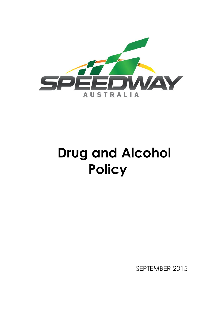

# **Drug and Alcohol Policy**

SEPTEMBER 2015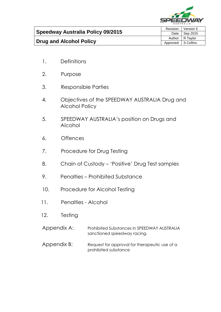

| <b>Speedway Australia Policy 09/2015</b> |  | Revision: I<br>Version 5 |
|------------------------------------------|--|--------------------------|
|                                          |  | Date: Sep 2015           |
|                                          |  | Author: I R Tavlor       |
| <b>Drug and Alcohol Policy</b>           |  | Approved: S Collins      |

- 1. Definitions
- 2. Purpose
- 3. Responsible Parties
- 4. Objectives of the SPEEDWAY AUSTRALIA Drug and Alcohol Policy
- 5. SPEEDWAY AUSTRALIA's position on Drugs and Alcohol
- 6. Offences
- 7. Procedure for Drug Testing
- 8. Chain of Custody 'Positive' Drug Test samples
- 9. Penalties Prohibited Substance
- 10. Procedure for Alcohol Testing
- 11. Penalties Alcohol
- 12. Testing
- Appendix A: Prohibited Substances in SPEEDWAY AUSTRALIA sanctioned speedway racing.
- Appendix B: Request for approval for therapeutic use of a prohibited substance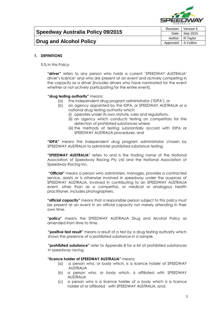

|                                          |                     | Revision:   Version 5 |
|------------------------------------------|---------------------|-----------------------|
| <b>Speedway Australia Policy 09/2015</b> |                     | Date: Sep 2015        |
|                                          |                     | Author: R Taylor      |
| <b>Drug and Alcohol Policy</b>           | Approved: S Collins |                       |

#### **1. DEFINITIONS**

**1.1.** In this Policy:

**"driver"** refers to any person who holds a current 'SPEEDWAY AUSTRALIA' driver's licence' and who are present at an event and actively competing in the capacity as a driver (includes drivers who have nominated for the event whether or not actively participating for the entire event).

#### **"drug testing authority"** means:

- (a) the independent drug program administrator ('IDPA'), or
- (b) an agency appointed by the IDPA, or SPEEDWAY AUSTRALIA or a national drug testing authority which:
	- (i) operates under its own statute, rules and regulations.
	- (ii) an agency which conducts testing on competitors for the detection of prohibited substances where:
	- (iii) the methods of testing substantially accord with IDPA or SPEEDWAY AUSTRALIA procedures, and

**"IDPA"** means the independent drug program administrator chosen by SPEEDWAY AUSTRALIA to administer prohibited substance testing.

**"SPEEDWAY AUSTRALIA"** refers to and is the trading name of the National Association of Speedway Racing Pty Ltd and the National Association of Speedway Racing Inc.

**"Official"** means a person who administers, manages, provides a contracted service, assists or is otherwise involved in speedway under the auspices of SPEEDWAY AUSTRALIA, involved in contributing to an SPEEDWAY AUSTRALIA event, other than as a competitor, or medical or analogous health practitioner, includes photographers.

**"official capacity"** means that a responsible person subject to this policy must be present at an event in an official capacity not merely attending in their own time.

**"policy"** means the SPEEDWAY AUSTRALIA Drug and Alcohol Policy as amended from time to time.

**"positive test result"** means a result of a test by a drug testing authority which shows the presence of a prohibited substance in a sample.

**"prohibited substance"** refer to Appendix B for a list of prohibited substances in speedway racing.

#### **"licence holder of SPEEDWAY AUSTRALIA"** means:

- (a) a person who, or body which, is a licence holder of SPEEDWAY AUSTRALIA
- (b) a person who, or body which, is affiliated with SPEEDWAY AUSTRALIA
- (c) a person who is a licence holder of a body which is a licence holder of or affiliated with SPEEDWAY AUSTRALIA, and;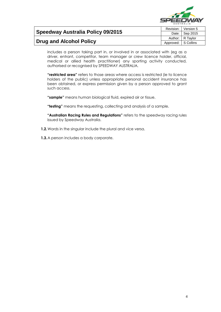

|                                   |                     | Revision:   Version 5 |
|-----------------------------------|---------------------|-----------------------|
| Speedway Australia Policy 09/2015 |                     | Date: Sep 2015        |
|                                   |                     | Author: R Taylor      |
| <b>Drug and Alcohol Policy</b>    | Approved: S Collins |                       |

includes a person taking part in, or involved in or associated with (eg as a driver, entrant, competitor, team manager or crew licence holder, official, medical or allied health practitioner) any sporting activity conducted, authorised or recognised by SPEEDWAY AUSTRALIA.

**"restricted area"** refers to those areas where access is restricted (ie to licence holders of the public) unless appropriate personal accident insurance has been obtained, or express permission given by a person approved to grant such access.

**"sample"** means human biological fluid, expired air or tissue.

**"testing"** means the requesting, collecting and analysis of a sample.

**"Australian Racing Rules and Regulations"** refers to the speedway racing rules issued by Speedway Australia.

- **1.2.**Words in the singular include the plural and vice versa.
- **1.3.**A person includes a body corporate.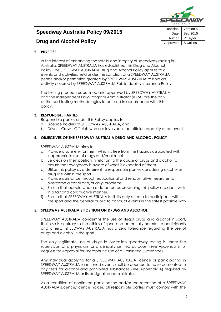

|                                          |                     | Revision:   Version 5 |
|------------------------------------------|---------------------|-----------------------|
| <b>Speedway Australia Policy 09/2015</b> |                     | Date:   Sep 2015      |
|                                          |                     | Author: R Taylor      |
| <b>Drug and Alcohol Policy</b>           | Approved: S Collins |                       |

#### **2. PURPOSE**

In the interest of enhancing the safety and integrity of speedway racing in Australia, SPEEDWAY AUSTRALIA has established this Drug and Alcohol Policy. The SPEEDWAY AUSTRALIA Drug and Alcohol Policy applies to all events and activities held under the sanction of a SPEEDWAY AUSTRALIA permit and/or permission granted by SPEEDWAY AUSTRALIA to hold an activity covered by SPEEDWAY AUSTRALIA Public Liability Insurance Policy.

The testing procedures outlined and approved by SPEEDWAY AUSTRALIA and the Independent Drug Program Administrator (IDPA) are the only authorised testing methodologies to be used in accordance with this policy.

#### **3. RESPONSIBLE PARTIES**

Responsible parties under this Policy applies to:

- a) Licence holders of SPEEDWAY AUSTRALIA, and
- b) Drivers, Crews, Officials who are involved in an official capacity at an event.

#### **4. OBJECTIVES OF THE SPEEDWAY AUSTRALIA DRUG AND ALCOHOL POLICY**

SPEEDWAY AUSTRALIA aims to:

- a) Provide a safe environment which is free from the hazards associated with inappropriate use of drugs and/or alcohol.
- b) Be clear on their position in relation to the abuse of drugs and alcohol to ensure that everybody is aware of what is expected of them.
- c) Utilise this policy as a deterrent to responsible parties considering alcohol or drug use within the sport.
- d) Provide assistance through educational and rehabilitative measures to overcome alcohol and/or drug problems.
- e) Ensure that people who are detected as breaching this policy are dealt with in a fair and constructive manner.
- f) Ensure that SPEEDWAY AUSTRALIA fulfils its duty of care to participants within the sport and the general public to conduct events in the safest possible way.

#### **5. SPEEDWAY AUSTRALIA'S POSITION ON DRUGS AND ALCOHOL**

SPEEDWAY AUSTRALIA condemns the use of illegal drugs and alcohol in sport, their use is contrary to the ethics of sport and potentially harmful to participants and others. SPEEDWAY AUSTRALIA has a zero tolerance regarding the use of drugs and alcohol in the sport.

The only legitimate use of drugs in Australian speedway racing is under the supervision of a physician for a clinically justified purpose. (See Appendix B for Request for Approval for Therapeutic Use of a Prohibited Substance).

Any individual applying for a SPEEDWAY AUSTRALIA licence or participating in SPEEDWAY AUSTRALIA sanctioned events shall be deemed to have consented to any tests for alcohol and prohibited substances (see Appendix A) required by SPEEDWAY AUSTRALIA or its designated administrator.

As a condition of continued participation and/or the retention of a SPEEDWAY AUSTRALIA Licence/licence holder, all responsible parties must comply with the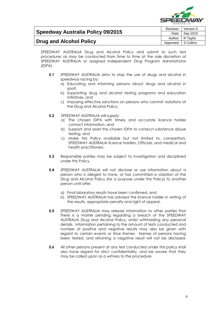

|                                   |                     | Revision:   Version 5 |
|-----------------------------------|---------------------|-----------------------|
| Speedway Australia Policy 09/2015 |                     | Date: Sep 2015        |
|                                   |                     | Author: R Taylor      |
| <b>Drug and Alcohol Policy</b>    | Approved: S Collins |                       |

SPEEDWAY AUSTRALIA Drug and Alcohol Policy and submit to such test procedures as may be conducted from time to time at the sole discretion of SPEEDWAY AUSTRALIA or assigned Independent Drug Program Administrator (IDPA).

- **5.1** SPEEDWAY AUSTRALIA aims to stop the use of drugs and alcohol in speedway racing by:
	- a) Educating and informing persons about drugs and alcohol in sport,
	- b) Supporting drug and alcohol testing programs and education initiatives, and
	- c) Imposing effective sanctions on persons who commit violations of the Drug and Alcohol Policy.
- **5.2** SPEEDWAY AUSTRALIA will supply:
	- a) The chosen IDPA with timely and accurate licence holder contact information, and
	- b) Support and assist the chosen IDPA to conduct substance abuse testing, and
	- c) Make this Policy available but not limited to, competitors, SPEEDWAY AUSTRALIA licence holders, Officials, and medical and health practitioners.
- **5.3** Responsible parties may be subject to investigation and disciplined under this Policy.
- **5.4** SPEEDWAY AUSTRALIA will not disclose or use information about a person who is alleged to have, or has committed a violation of the Drug and Alcohol Policy (for a purpose under this Policy) to another person until after.
	- a) Final laboratory results have been confirmed, and
	- b) SPEEDWAY AUSTRALIA has advised the licence holder in writing of the results, appropriate penalty and right of appeal.
- **5.5** SPEEDWAY AUSTRALIA may release information to other parties that there is a matter pending regarding a breach of the SPEEDWAY AUSTRALIA Drug and Alcohol Policy, whilst withholding any personal details. Information pertaining to the amount of tests conducted and number of positive and negative results may also be given with regard to certain events or time frames. Names of persons having been tested, and returning a negative result will not be disclosed.
- **5.6** All other persons present at any test conducted under this policy shall also have regard for strict confidentiality, and be aware that they may be called upon as a witness to the procedure.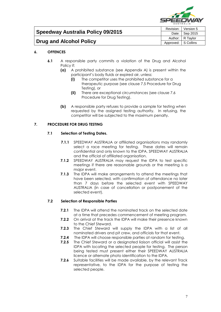

|                                   |                       | Revision:   Version 5 |
|-----------------------------------|-----------------------|-----------------------|
| Speedway Australia Policy 09/2015 |                       | Date: Sep 2015        |
|                                   |                       | Author: R Taylor      |
| <b>Drug and Alcohol Policy</b>    | Approved:   S Collins |                       |

# **6. OFFENCES**

- **6.1** A responsible party commits a violation of the Drug and Alcohol Policy if:
	- **(a)** A prohibited substance (see Appendix A) is present within the participant's body fluids or expired air, unless:
		- **(i)** The competitor uses the prohibited substance for a therapeutic purpose (see clause 7.5 Procedure for Drug Testing), or
		- **(ii)** There are exceptional circumstances (see clause 7.6 Procedure for Drug Testing).
	- **(b)** A responsible party refuses to provide a sample for testing when requested by the assigned testing authority. In refusing, the competitor will be subjected to the maximum penalty.

#### **7. PROCEDURE FOR DRUG TESTING**

#### **7.1 Selection of Testing Dates.**

- **7.1.1** SPEEDWAY AUSTRALIA or affiliated organisations may randomly select a race meeting for testing. These dates will remain confidential and only known to the IDPA, SPEEDWAY AUSTRALIA and the official of affiliated organisation.
- **7.1.2** SPEEDWAY AUSTRALIA may request the IDPA to test specific meetings if there are reasonable grounds or the meeting is a major event.
- **7.1.3** The IDPA will make arrangements to attend the meetings that have been selected, with confirmation of attendance no later than 7 days before the selected event with SPEEDWAY AUSTRALIA (in case of cancellation or postponement of the selected event).

#### **7.2 Selection of Responsible Parties**

- **7.2.1** The IDPA will attend the nominated track on the selected date at a time that precedes commencement of meeting program.
- **7.2.2** On arrival at the track the IDPA will make their presence known to the Chief Steward.
- **7.2.3** The Chief Steward will supply the IDPA with a list of all nominated drivers and pit crew, and officials for that event.
- **7.2.4** The IDPA will choose responsible parties at random for testing.
- **7.2.5** The Chief Steward or a designated liaison official will assist the IDPA with locating the selected people for testing. The person being tested must present either their SPEEDWAY AUSTRALIA licence or alternate photo identification to the IDPA.
- **7.2.6** Suitable facilities will be made available, by the relevant Track representative, to the IDPA for the purpose of testing the selected people.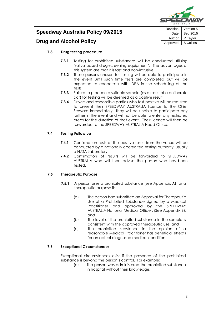

|                                   |                     | Revision:   Version 5 |
|-----------------------------------|---------------------|-----------------------|
| Speedway Australia Policy 09/2015 |                     | Date: Sep 2015        |
|                                   |                     | Author: R Taylor      |
| Drug and Alcohol Policy           | Approved: S Collins |                       |

#### **7.3 Drug testing procedure**

- **7.3.1** Testing for prohibited substances will be conducted utilising 'saliva based drug-screening equipment'. The advantages of this system are that it is fast and non-intrusive.
- **7.3.2** Those persons chosen for testing will be able to participate in the event until such time tests are completed but will be expected to cooperate with IDPA in the scheduling of the tests.
- **7.3.3** Failure to produce a suitable sample (as a result of a deliberate act) for testing will be deemed as a positive result.
- **7.3.4** Drivers and responsible parties who test positive will be required to present their SPEEDWAY AUSTRALIA licence to the Chief Steward immediately They will be unable to participate any further in the event and will not be able to enter any restricted areas for the duration of that event. Their licence will then be forwarded to the SPEEDWAY AUSTRALIA Head Office.

#### **7.4 Testing Follow up**

- **7.4.1** Confirmation tests of the positive result from the venue will be conducted by a nationally accredited testing authority, usually a NATA Laboratory.
- **7.4.2** Confirmation of results will be forwarded to SPEEDWAY AUSTRALIA who will then advise the person who has been tested.

#### **7.5 Therapeutic Purpose**

- **7.5.1** A person uses a prohibited substance (see Appendix A) for a therapeutic purpose if:
	- (a) The person had submitted an Approval for Therapeutic Use of a Prohibited Substance signed by a Medical Practitioner and approved by the SPEEDWAY AUSTRALIA National Medical Officer. (See Appendix B), *and*
	- (b) The level of the prohibited substance in the sample is consistent with the approved therapeutic use, *and*
	- (c) The prohibited substance in the opinion of a reasonable Medical Practitioner has beneficial effects for an actual diagnosed medical condition.

#### **7.6 Exceptional Circumstances**

Exceptional circumstances exist if the presence of the prohibited substance is beyond the person's control. For example:

(a) The person was administered the prohibited substance in hospital without their knowledge.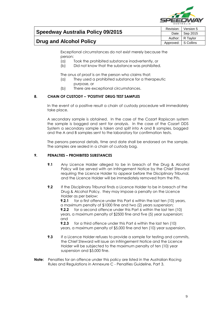

Approved: S Collins

| Speedway Australia Policy 09/2015 |  | Revision:   Version 5 |
|-----------------------------------|--|-----------------------|
|                                   |  | Date: Sep 2015        |
|                                   |  | Author:   R Taylor    |

# **Drug and Alcohol Policy**

Exceptional circumstances do not exist merely because the person:

- (a) Took the prohibited substance inadvertently, or
- (b) Did not know that the substance was prohibited.

The onus of proof is on the person who claims that:

- (a) They used a prohibited substance for a therapeutic purpose, or
- (b) There are exceptional circumstances.

#### **8. CHAIN OF CUSTODY – 'POSITIVE' DRUG TEST SAMPLES**

In the event of a positive result a chain of custody procedure will immediately take place.

A secondary sample is obtained. In the case of the Cozart Rapiscan system the sample is bagged and sent for analysis. In the case of the Cozart DDS System a secondary sample is taken and split into A and B samples, bagged and the A and B samples sent to the laboratory for confirmation tests.

The persons personal details, time and date shall be endorsed on the sample. The samples are sealed in a chain of custody bag.

#### **9. PENALTIES – PROHIBITED SUBSTANCES**

- **9.1** Any Licence Holder alleged to be in breach of the Drug & Alcohol Policy will be served with an Infringement Notice by the Chief Steward requiring the Licence Holder to appear before the Disciplinary Tribunal, and the Licence Holder will be immediately removed from the Pits.
- **9.2** If the Disciplinary Tribunal finds a Licence Holder to be in breach of the Drug & Alcohol Policy, they may impose a penalty on the Licence Holder as per below:

**9.2.1** for a first offence under this Part 6 within the last ten (10) years, a maximum penalty of \$1000 fine and two (2) years suspension; **9.2.2** for a second offence under this Part 6 within the last ten (10)

years, a maximum penalty of \$2500 fine and five (5) year suspension; and

**9.2.3** for a third offence under this Part 6 within the last ten (10) years, a maximum penalty of \$5,000 fine and ten (10) year suspension.

- **9.3** If a Licence Holder refuses to provide a sample for testing and commits, the Chief Steward will issue an Infringement Notice and the Licence Holder will be subjected to the maximum penalty of ten (10) year suspension and \$5,000 fine.
- **Note:** Penalties for an offence under this policy are listed in the Australian Racing Rules and Regulations in Annexure C - Penalties Guideline, Part 3.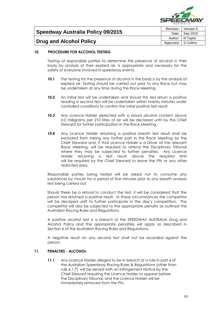

|                                   |                     | Revision:   Version 5 |
|-----------------------------------|---------------------|-----------------------|
| Speedway Australia Policy 09/2015 |                     | Date: Sep 2015        |
|                                   |                     | Author: R Taylor      |
| <b>Drug and Alcohol Policy</b>    | Approved: S Collins |                       |

#### **10. PROCEDURE FOR ALCOHOL TESTING**

Testing of responsible parties to determine the presence of alcohol in their body by analysis of their expired air, is appropriate and necessary for the safety of everyone involved in speedway events.

- **10.1** The testing for the presence of alcohol in the body is by the analysis of expired air. Testing should be carried out prior to any Race but may be undertaken at any time during the Race Meeting.
- **10.2** An initial test will be undertaken and should this test return a positive reading a second test will be undertaken within twenty minutes under controlled conditions to confirm the initial positive test result.
- **10.3** Any Licence Holder detected with a blood alcohol content above 0.0 milligrams per 210 litres of air will be declared unfit by the Chief Steward for further participation in the Race Meeting.
- **10.4** Any Licence Holder returning a positive breath test result shall be excluded from taking any further part in the Race Meeting by the Chief Steward and, if that Licence Holder is a Driver at the relevant Race Meeting, will be required to attend the Disciplinary Tribunal where they may be subjected to further penalties. Any Licence Holder returning a test result above the required limit will be required by the Chief Steward to leave the Pits or any other restricted area.

Responsible parties being tested will be asked not to consume any substances by mouth for a period of five minutes prior to any breath analysis test being carried out.

Should there be a refusal to conduct the test, it will be considered that the person has returned a positive result. In these circumstances the competitor will be declared unfit to further participate in the day's competition. The competitor will also be subjected to the appropriate penalty as outlined the Australian Racing Rules and Regulations.

A positive alcohol test is a breach of the SPEEDWAY AUSTRALIA Drug and Alcohol Policy and the appropriate penalties will apply as described in Section 6 of the Australian Racing Rules and Regulations.

A negative result on any second test shall not be recorded against the person.

#### **11. PENALTIES - ALCOHOL**

**11.1** Any Licence Holder alleged to be in breach of a rule in part 6 of the Australian Speedway Racing Rules & Regulations (other than rule 6.1.7) will be served with an Infringement Notice by the Chief Steward requiring the Licence Holder to appear before the Disciplinary Tribunal, and the Licence Holder will be immediately removed from the Pits.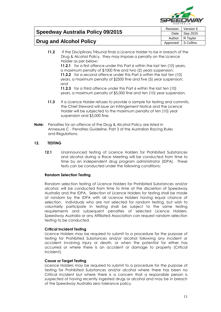

|                                          |  | Revision: Version 5 |
|------------------------------------------|--|---------------------|
| <b>Speedway Australia Policy 09/2015</b> |  | Date:   Sep 2015    |
|                                          |  | Author: R Taylor    |
| Drug and Alcohol Policy                  |  | Approved: S Collins |

- **11.2** If the Disciplinary Tribunal finds a Licence Holder to be in breach of the Drug & Alcohol Policy, they may impose a penalty on the Licence Holder as per below: **11.2.1** for a first offence under this Part 6 within the last ten (10) years, a maximum penalty of \$1000 fine and two (2) years suspension; **11.2.2** for a second offence under this Part 6 within the last ten (10) years, a maximum penalty of \$2500 fine and five (5) year suspension; and **11.2.3** for a third offence under this Part 6 within the last ten (10) years, a maximum penalty of \$5,000 fine and ten (10) year suspension.
- **11.3** If a Licence Holder refuses to provide a sample for testing and commits, the Chief Steward will issue an Infringement Notice and the Licence Holder will be subjected to the maximum penalty of ten (10) year suspension and \$5,000 fine.
- **Note:** Penalties for an offence of the Drug & Alcohol Policy are listed in Annexure C - Penalties Guideline, Part 3 of the Australian Racing Rules and Regulations.

#### **12. TESTING**

**12.1** Unannounced testing of Licence Holders for Prohibited Substances and alcohol during a Race Meeting will be conducted from time to time by an independent drug program administrator (IDPA). These tests can be conducted under the following conditions:

#### **Random Selection Testing**

Random selection testing of Licence Holders for Prohibited Substances and/or alcohol, will be conducted from time to time at the discretion of Speedway Australia and the IDPA. Selection of Licence Holders for testing shall be made at random by the IDPA with all Licence Holders having equal chance of selection. Individuals who are not selected for random testing, but wish to voluntarily participate in testing shall be subject to the same testing requirements and subsequent penalties of selected Licence Holders. Speedway Australia or any Affiliated Association can request random selection testing to be conducted.

#### **Critical Incident Testing**

Licence Holders may be required to submit to a procedure for the purpose of testing for Prohibited Substances and/or alcohol following any incident or accident involving injury or death, or when the potential for either has occurred or where there is an accident or damage to property (Critical Incident).

#### **Cause or Target Testing**

Licence Holders may be required to submit to a procedure for the purpose of testing for Prohibited Substances and/or alcohol where there has been no Critical Incident but where there is a concern that a responsible person is suspected of having recently ingested drugs or alcohol and may be in breach of the Speedway Australia zero tolerance policy.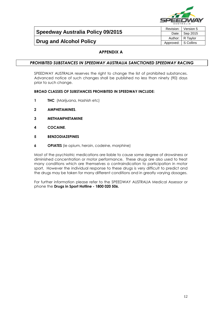

**Speedway Australia Policy 09/2015**

Revision: Version 5 Date: | Sep 2015 Author: R Taylor Approved: S Collins

# **Drug and Alcohol Policy**

# **APPENDIX A**

#### *PROHIBITED SUBSTANCES IN SPEEDWAY AUSTRALIA SANCTIONED SPEEDWAY RACING*

SPEEDWAY AUSTRALIA reserves the right to change the list of prohibited substances. Advanced notice of such changes shall be published no less than ninety (90) days prior to such change.

#### **BROAD CLASSES OF SUBSTANCES PROHIBITED IN SPEEDWAY INCLUDE:**

- **1 THC** (Marijuana, Hashish etc)
- **2 AMPHETAMINES**.
- **3 METHAMPHETAMINE**
- **4 COCAINE**.
- **5 BENZODIAZEPINES**
- **6 OPIATES** (ie opium, heroin, codeine, morphine)

Most of the psychiatric medications are liable to cause some degree of drowsiness or diminished concentration or motor performance. These drugs are also used to treat many conditions which are themselves a contraindication to participation in motor sport. However the individual response to these drugs is very difficult to predict and the drugs may be taken for many different conditions and in greatly varying dosages.

For further information please refer to the SPEEDWAY AUSTRALIA Medical Assessor or phone the **Drugs in Sport Hotline - 1800 020 506.**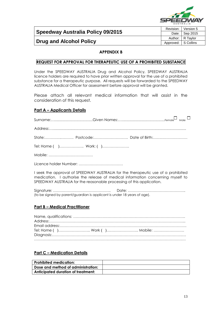

Revision: Version 5

**Speedway Australia Policy 09/2015**

# **Drug and Alcohol Policy**

Date: | Sep 2015 Author: R Taylor Approved: S Collins

# **APPENDIX B**

# **REQUEST FOR APPROVAL FOR THERAPEUTIC USE OF A PROHIBITED SUBSTANCE**

Under the SPEEDWAY AUSTRALIA Drug and Alcohol Policy, SPEEDWAY AUSTRALIA licence holders are required to have prior written approval for the use of a prohibited substance for a therapeutic purpose. All requests will be forwarded to the SPEEDWAY AUSTRALIA Medical Officer for assessment before approval will be granted.

Please attach all relevant medical information that will assist in the consideration of this request.

# **Part A – Applicants Details**

| State: Postcode: Date of Birth: |  |
|---------------------------------|--|
|                                 |  |
|                                 |  |
|                                 |  |

I seek the approval of SPEEDWAY AUSTRALIA for the therapeutic use of a prohibited medication. I authorise the release of medical information concerning myself to SPEEDWAY AUSTRALIA for the reasonable processing of this application.

Signature: ……………………………………….. Date: ……………………………………….. (to be signed by parent/guardian is applicant is under 18 years of age).

# **Part B – Medical Practitioner**

# **Part C – Medication Details**

| <b>Prohibited medication:</b>      |  |
|------------------------------------|--|
| Dose and method of administration: |  |
| Anticipated duration of treatment: |  |